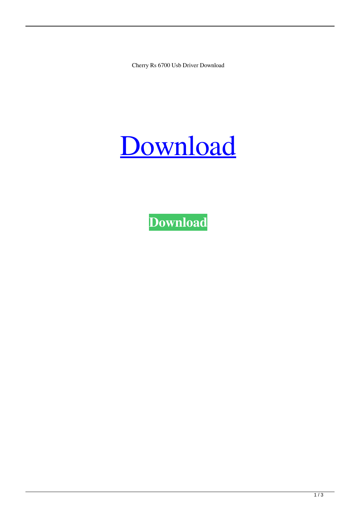Cherry Rs 6700 Usb Driver Download

## [Download](http://evacdir.com/ipods/gearing.campfires.messenia.ntbootdd/resists/ZG93bmxvYWR8NkFYTVhKNE5IeDhNVFkxTWpRMk16QTFNSHg4TWpVM05IeDhLRTBwSUhKbFlXUXRZbXh2WnlCYlJtRnpkQ0JIUlU1ZA/romeo.Y2hlcnJ5IHJzIDY3MDAgdXNiIGRyaXZlciBkb3dubG9hZAY2h)

**[Download](http://evacdir.com/ipods/gearing.campfires.messenia.ntbootdd/resists/ZG93bmxvYWR8NkFYTVhKNE5IeDhNVFkxTWpRMk16QTFNSHg4TWpVM05IeDhLRTBwSUhKbFlXUXRZbXh2WnlCYlJtRnpkQ0JIUlU1ZA/romeo.Y2hlcnJ5IHJzIDY3MDAgdXNiIGRyaXZlciBkb3dubG9hZAY2h)**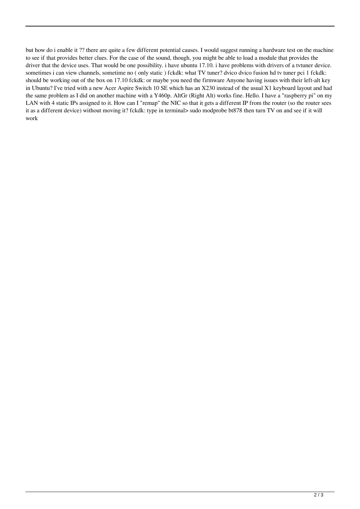but how do i enable it ?? there are quite a few different potential causes. I would suggest running a hardware test on the machine to see if that provides better clues. For the case of the sound, though, you might be able to load a module that provides the driver that the device uses. That would be one possibility. i have ubuntu 17.10. i have problems with drivers of a tvtuner device. sometimes i can view channels, sometime no ( only static ) fckdk: what TV tuner? dvico dvico fusion hd tv tuner pci 1 fckdk: should be working out of the box on 17.10 fckdk: or maybe you need the firmware Anyone having issues with their left-alt key in Ubuntu? I've tried with a new Acer Aspire Switch 10 SE which has an X230 instead of the usual X1 keyboard layout and had the same problem as I did on another machine with a Y460p. AltGr (Right Alt) works fine. Hello. I have a "raspberry pi" on my LAN with 4 static IPs assigned to it. How can I "remap" the NIC so that it gets a different IP from the router (so the router sees it as a different device) without moving it? fckdk: type in terminal> sudo modprobe bt878 then turn TV on and see if it will work